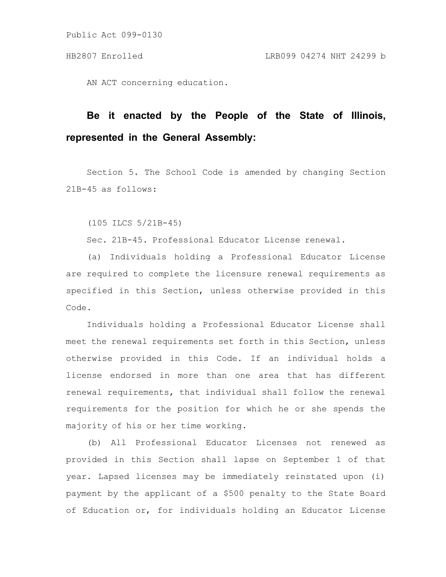Public Act 099-0130

AN ACT concerning education.

# **Be it enacted by the People of the State of Illinois, represented in the General Assembly:**

Section 5. The School Code is amended by changing Section 21B-45 as follows:

(105 ILCS 5/21B-45)

Sec. 21B-45. Professional Educator License renewal.

(a) Individuals holding a Professional Educator License are required to complete the licensure renewal requirements as specified in this Section, unless otherwise provided in this Code.

Individuals holding a Professional Educator License shall meet the renewal requirements set forth in this Section, unless otherwise provided in this Code. If an individual holds a license endorsed in more than one area that has different renewal requirements, that individual shall follow the renewal requirements for the position for which he or she spends the majority of his or her time working.

(b) All Professional Educator Licenses not renewed as provided in this Section shall lapse on September 1 of that year. Lapsed licenses may be immediately reinstated upon (i) payment by the applicant of a \$500 penalty to the State Board of Education or, for individuals holding an Educator License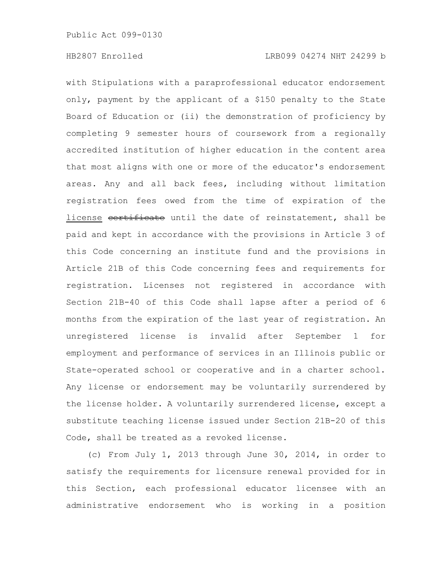with Stipulations with a paraprofessional educator endorsement only, payment by the applicant of a \$150 penalty to the State Board of Education or (ii) the demonstration of proficiency by completing 9 semester hours of coursework from a regionally accredited institution of higher education in the content area that most aligns with one or more of the educator's endorsement areas. Any and all back fees, including without limitation registration fees owed from the time of expiration of the license certificate until the date of reinstatement, shall be paid and kept in accordance with the provisions in Article 3 of this Code concerning an institute fund and the provisions in Article 21B of this Code concerning fees and requirements for registration. Licenses not registered in accordance with Section 21B-40 of this Code shall lapse after a period of 6 months from the expiration of the last year of registration. An unregistered license is invalid after September 1 for employment and performance of services in an Illinois public or State-operated school or cooperative and in a charter school. Any license or endorsement may be voluntarily surrendered by the license holder. A voluntarily surrendered license, except a substitute teaching license issued under Section 21B-20 of this Code, shall be treated as a revoked license.

(c) From July 1, 2013 through June 30, 2014, in order to satisfy the requirements for licensure renewal provided for in this Section, each professional educator licensee with an administrative endorsement who is working in a position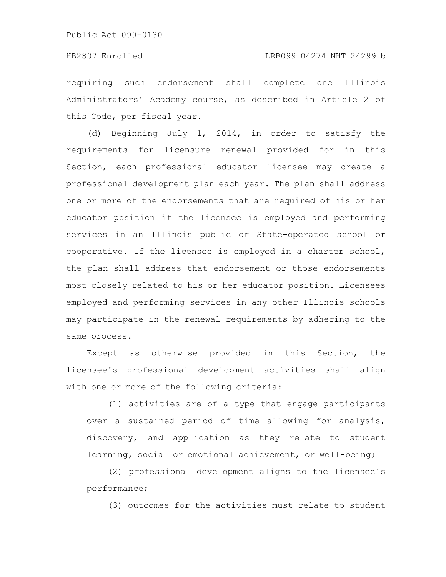requiring such endorsement shall complete one Illinois Administrators' Academy course, as described in Article 2 of this Code, per fiscal year.

(d) Beginning July 1, 2014, in order to satisfy the requirements for licensure renewal provided for in this Section, each professional educator licensee may create a professional development plan each year. The plan shall address one or more of the endorsements that are required of his or her educator position if the licensee is employed and performing services in an Illinois public or State-operated school or cooperative. If the licensee is employed in a charter school, the plan shall address that endorsement or those endorsements most closely related to his or her educator position. Licensees employed and performing services in any other Illinois schools may participate in the renewal requirements by adhering to the same process.

Except as otherwise provided in this Section, the licensee's professional development activities shall align with one or more of the following criteria:

(1) activities are of a type that engage participants over a sustained period of time allowing for analysis, discovery, and application as they relate to student learning, social or emotional achievement, or well-being;

(2) professional development aligns to the licensee's performance;

(3) outcomes for the activities must relate to student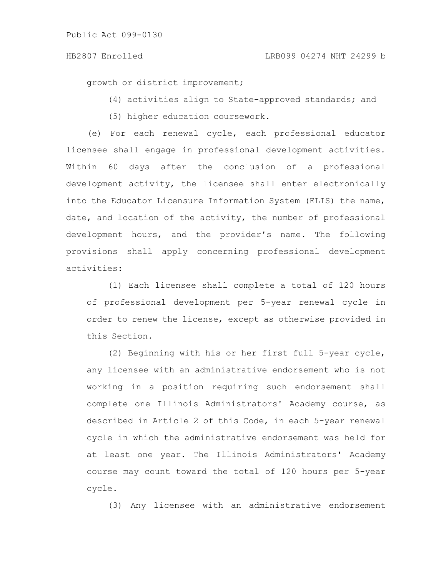growth or district improvement;

(4) activities align to State-approved standards; and

(5) higher education coursework.

(e) For each renewal cycle, each professional educator licensee shall engage in professional development activities. Within 60 days after the conclusion of a professional development activity, the licensee shall enter electronically into the Educator Licensure Information System (ELIS) the name, date, and location of the activity, the number of professional development hours, and the provider's name. The following provisions shall apply concerning professional development activities:

(1) Each licensee shall complete a total of 120 hours of professional development per 5-year renewal cycle in order to renew the license, except as otherwise provided in this Section.

(2) Beginning with his or her first full 5-year cycle, any licensee with an administrative endorsement who is not working in a position requiring such endorsement shall complete one Illinois Administrators' Academy course, as described in Article 2 of this Code, in each 5-year renewal cycle in which the administrative endorsement was held for at least one year. The Illinois Administrators' Academy course may count toward the total of 120 hours per 5-year cycle.

(3) Any licensee with an administrative endorsement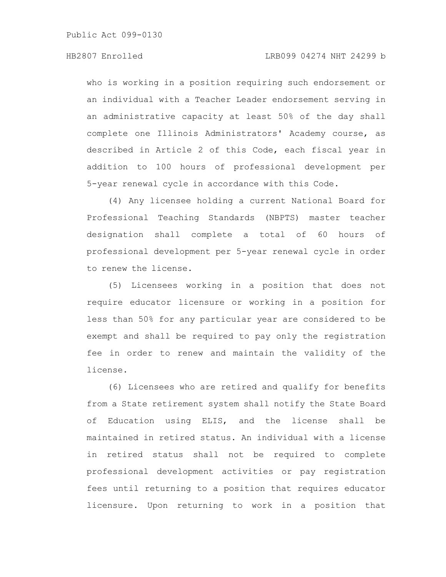Public Act 099-0130

who is working in a position requiring such endorsement or an individual with a Teacher Leader endorsement serving in an administrative capacity at least 50% of the day shall complete one Illinois Administrators' Academy course, as described in Article 2 of this Code, each fiscal year in addition to 100 hours of professional development per 5-year renewal cycle in accordance with this Code.

(4) Any licensee holding a current National Board for Professional Teaching Standards (NBPTS) master teacher designation shall complete a total of 60 hours of professional development per 5-year renewal cycle in order to renew the license.

(5) Licensees working in a position that does not require educator licensure or working in a position for less than 50% for any particular year are considered to be exempt and shall be required to pay only the registration fee in order to renew and maintain the validity of the license.

(6) Licensees who are retired and qualify for benefits from a State retirement system shall notify the State Board of Education using ELIS, and the license shall be maintained in retired status. An individual with a license in retired status shall not be required to complete professional development activities or pay registration fees until returning to a position that requires educator licensure. Upon returning to work in a position that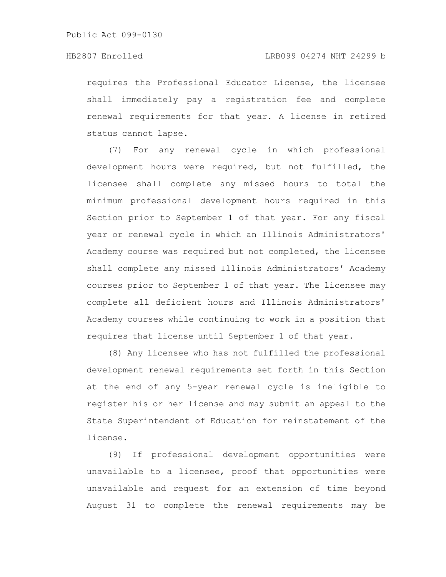requires the Professional Educator License, the licensee shall immediately pay a registration fee and complete renewal requirements for that year. A license in retired status cannot lapse.

(7) For any renewal cycle in which professional development hours were required, but not fulfilled, the licensee shall complete any missed hours to total the minimum professional development hours required in this Section prior to September 1 of that year. For any fiscal year or renewal cycle in which an Illinois Administrators' Academy course was required but not completed, the licensee shall complete any missed Illinois Administrators' Academy courses prior to September 1 of that year. The licensee may complete all deficient hours and Illinois Administrators' Academy courses while continuing to work in a position that requires that license until September 1 of that year.

(8) Any licensee who has not fulfilled the professional development renewal requirements set forth in this Section at the end of any 5-year renewal cycle is ineligible to register his or her license and may submit an appeal to the State Superintendent of Education for reinstatement of the license.

(9) If professional development opportunities were unavailable to a licensee, proof that opportunities were unavailable and request for an extension of time beyond August 31 to complete the renewal requirements may be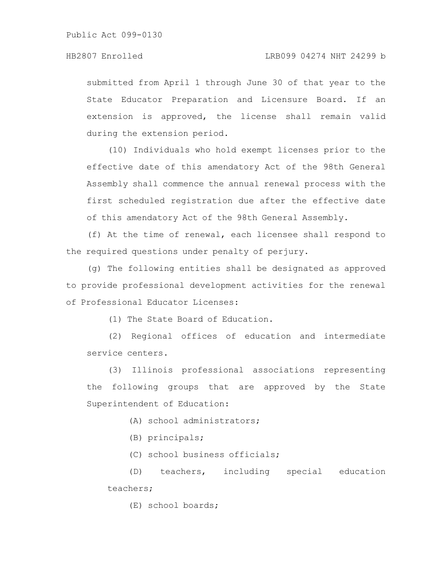submitted from April 1 through June 30 of that year to the State Educator Preparation and Licensure Board. If an extension is approved, the license shall remain valid during the extension period.

(10) Individuals who hold exempt licenses prior to the effective date of this amendatory Act of the 98th General Assembly shall commence the annual renewal process with the first scheduled registration due after the effective date of this amendatory Act of the 98th General Assembly.

(f) At the time of renewal, each licensee shall respond to the required questions under penalty of perjury.

(g) The following entities shall be designated as approved to provide professional development activities for the renewal of Professional Educator Licenses:

(1) The State Board of Education.

(2) Regional offices of education and intermediate service centers.

(3) Illinois professional associations representing the following groups that are approved by the State Superintendent of Education:

(A) school administrators;

(B) principals;

(C) school business officials;

(D) teachers, including special education teachers;

(E) school boards;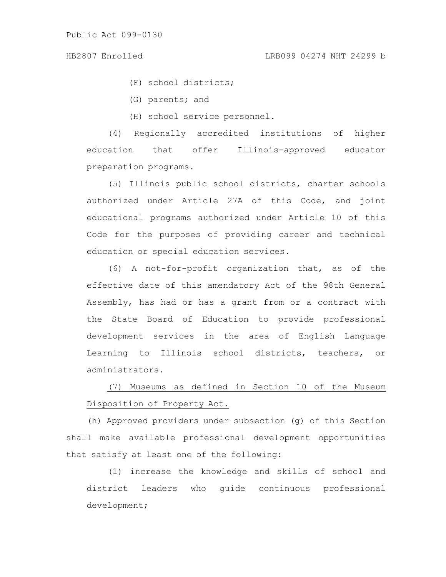(F) school districts;

(G) parents; and

(H) school service personnel.

(4) Regionally accredited institutions of higher education that offer Illinois-approved educator preparation programs.

(5) Illinois public school districts, charter schools authorized under Article 27A of this Code, and joint educational programs authorized under Article 10 of this Code for the purposes of providing career and technical education or special education services.

(6) A not-for-profit organization that, as of the effective date of this amendatory Act of the 98th General Assembly, has had or has a grant from or a contract with the State Board of Education to provide professional development services in the area of English Language Learning to Illinois school districts, teachers, or administrators.

(7) Museums as defined in Section 10 of the Museum Disposition of Property Act.

(h) Approved providers under subsection (g) of this Section shall make available professional development opportunities that satisfy at least one of the following:

(1) increase the knowledge and skills of school and district leaders who guide continuous professional development;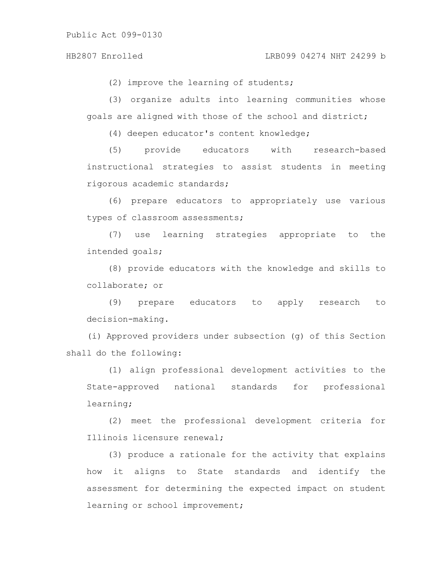(2) improve the learning of students;

(3) organize adults into learning communities whose goals are aligned with those of the school and district;

(4) deepen educator's content knowledge;

(5) provide educators with research-based instructional strategies to assist students in meeting rigorous academic standards;

(6) prepare educators to appropriately use various types of classroom assessments;

(7) use learning strategies appropriate to the intended goals;

(8) provide educators with the knowledge and skills to collaborate; or

(9) prepare educators to apply research to decision-making.

(i) Approved providers under subsection (g) of this Section shall do the following:

(1) align professional development activities to the State-approved national standards for professional learning;

(2) meet the professional development criteria for Illinois licensure renewal;

(3) produce a rationale for the activity that explains how it aligns to State standards and identify the assessment for determining the expected impact on student learning or school improvement;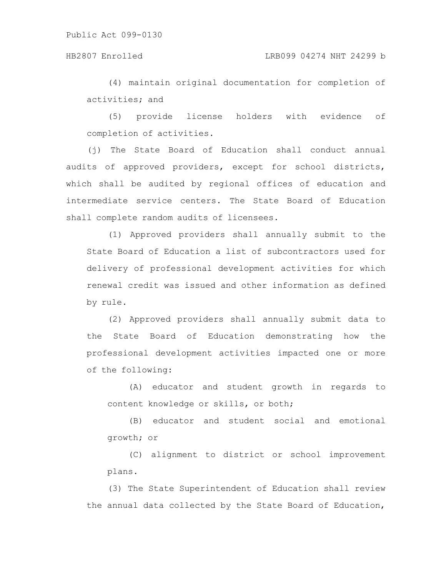(4) maintain original documentation for completion of activities; and

(5) provide license holders with evidence of completion of activities.

(j) The State Board of Education shall conduct annual audits of approved providers, except for school districts, which shall be audited by regional offices of education and intermediate service centers. The State Board of Education shall complete random audits of licensees.

(1) Approved providers shall annually submit to the State Board of Education a list of subcontractors used for delivery of professional development activities for which renewal credit was issued and other information as defined by rule.

(2) Approved providers shall annually submit data to the State Board of Education demonstrating how the professional development activities impacted one or more of the following:

(A) educator and student growth in regards to content knowledge or skills, or both;

(B) educator and student social and emotional growth; or

(C) alignment to district or school improvement plans.

(3) The State Superintendent of Education shall review the annual data collected by the State Board of Education,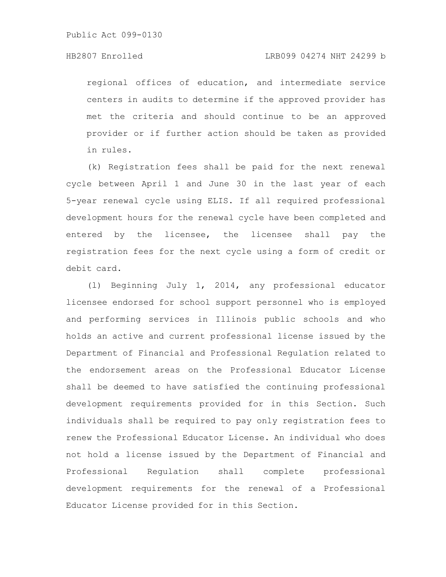regional offices of education, and intermediate service centers in audits to determine if the approved provider has met the criteria and should continue to be an approved provider or if further action should be taken as provided in rules.

(k) Registration fees shall be paid for the next renewal cycle between April 1 and June 30 in the last year of each 5-year renewal cycle using ELIS. If all required professional development hours for the renewal cycle have been completed and entered by the licensee, the licensee shall pay the registration fees for the next cycle using a form of credit or debit card.

(l) Beginning July 1, 2014, any professional educator licensee endorsed for school support personnel who is employed and performing services in Illinois public schools and who holds an active and current professional license issued by the Department of Financial and Professional Regulation related to the endorsement areas on the Professional Educator License shall be deemed to have satisfied the continuing professional development requirements provided for in this Section. Such individuals shall be required to pay only registration fees to renew the Professional Educator License. An individual who does not hold a license issued by the Department of Financial and Professional Regulation shall complete professional development requirements for the renewal of a Professional Educator License provided for in this Section.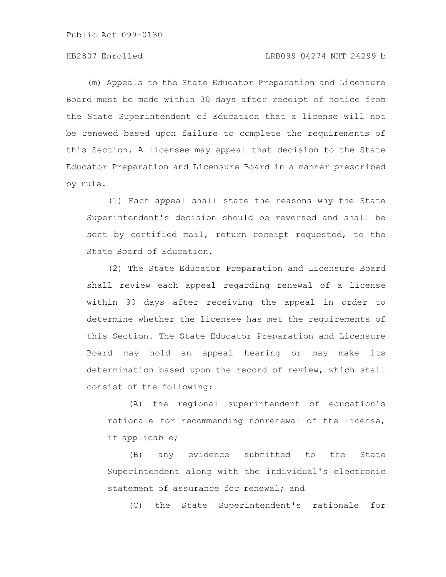Public Act 099-0130

## HB2807 Enrolled LRB099 04274 NHT 24299 b

(m) Appeals to the State Educator Preparation and Licensure Board must be made within 30 days after receipt of notice from the State Superintendent of Education that a license will not be renewed based upon failure to complete the requirements of this Section. A licensee may appeal that decision to the State Educator Preparation and Licensure Board in a manner prescribed by rule.

(1) Each appeal shall state the reasons why the State Superintendent's decision should be reversed and shall be sent by certified mail, return receipt requested, to the State Board of Education.

(2) The State Educator Preparation and Licensure Board shall review each appeal regarding renewal of a license within 90 days after receiving the appeal in order to determine whether the licensee has met the requirements of this Section. The State Educator Preparation and Licensure Board may hold an appeal hearing or may make its determination based upon the record of review, which shall consist of the following:

(A) the regional superintendent of education's rationale for recommending nonrenewal of the license, if applicable;

(B) any evidence submitted to the State Superintendent along with the individual's electronic statement of assurance for renewal; and

(C) the State Superintendent's rationale for